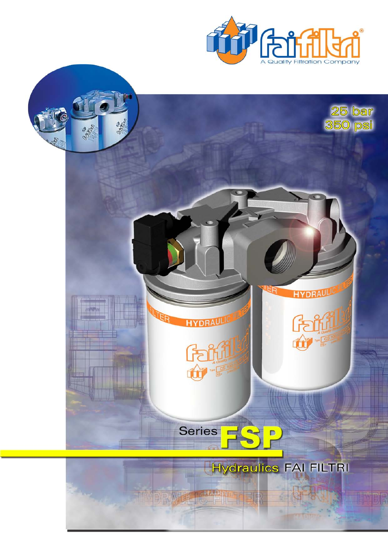

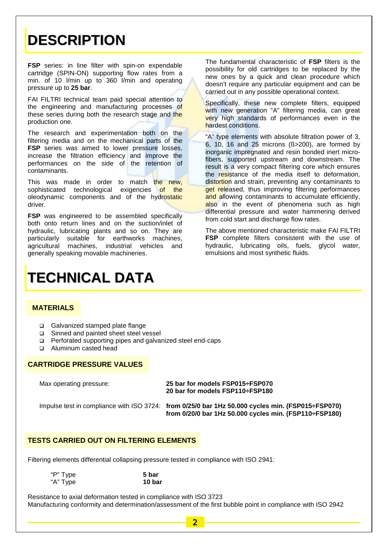## **DESCRIPTION**

**FSP** series: in line filter with spin-on expendable cartridge (SPIN-ON) supporting flow rates from a min. of 10 l/min up to 360 l/min and operating pressure up to **25 bar**.

FAI FILTRI technical team paid special attention to the engineering and manufacturing processes of these series during both the research stage and the production one.

The research and experimentation both on the filtering media and on the mechanical parts of the **FSP** series was aimed to lower pressure losses, increase the filtration efficiency and improve the performances on the side of the retention of contaminants.

This was made in order to match the new, sophisticated technological exigencies of the oleodynamic components and of the hydrostatic driver.

**FSP** was engineered to be assembled specifically both onto return lines and on the suction/inlet of hydraulic, lubricating plants and so on. They are particularly suitable for earthworks machines, agricultural machines, industrial vehicles and generally speaking movable machineries.

The fundamental characteristic of **FSP** filters is the possibility for old cartridges to be replaced by the new ones by a quick and clean procedure which doesn't require any particular equipment and can be carried out in any possible operational context.

Specifically, these new complete filters, equipped with new generation "A" filtering media, can great very high standards of performances even in the hardest conditions.

"A" type elements with absolute filtration power of 3, 6, 10, 16 and 25 microns (ß>200), are formed by inorganic impregnated and resin bonded inert microfibers, supported upstream and downstream. The result is a very compact filtering core which ensures the resistance of the media itself to deformation, distortion and strain, preventing any contaminants to get released, thus improving filtering performances and allowing contaminants to accumulate efficiently, also in the event of phenomena such as high differential pressure and water hammering derived from cold start and discharge flow rates.

The above mentioned characteristic make FAI FILTRI **FSP** complete filters consistent with the use of hydraulic, lubricating oils, fuels, glycol water, emulsions and most synthetic fluids.

# **TECHNICAL DATA**

## **MATERIALS**

- Galvanized stamped plate flange
- Sinned and painted sheet steel vessel
- Perforated supporting pipes and galvanized steel end-caps
- □ Aluminum casted head

## **CARTRIDGE PRESSURE VALUES**

| Max operating pressure: | 25 bar for models FSP015÷FSP070<br>20 bar for models FSP110÷FSP180                                                                                         |
|-------------------------|------------------------------------------------------------------------------------------------------------------------------------------------------------|
|                         | Impulse test in compliance with ISO 3724: from 0/25/0 bar 1Hz 50.000 cycles min. (FSP015÷FSP070)<br>from 0/20/0 bar 1Hz 50.000 cycles min. (FSP110÷FSP180) |

## **TESTS CARRIED OUT ON FILTERING ELEMENTS**

Filtering elements differential collapsing pressure tested in compliance with ISO 2941:

| "P" Type | 5 bar  |
|----------|--------|
| "A" Type | 10 bar |

Resistance to axial deformation tested in compliance with ISO 3723 Manufacturing conformity and determination/assessment of the first bubble point in compliance with ISO 2942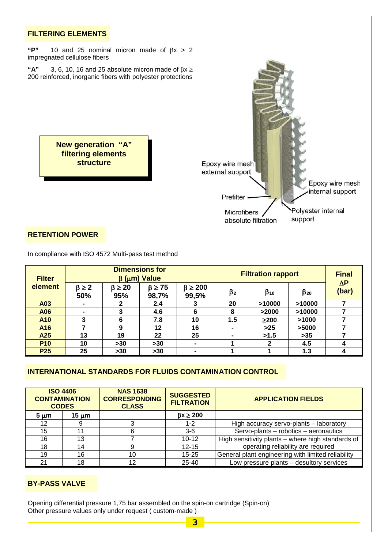

### **RETENTION POWER**

In compliance with ISO 4572 Multi-pass test method

| <b>Filter</b> |                       |                        | <b>Dimensions for</b><br>$\beta$ ( $\mu$ m) Value |                           | <b>Filtration rapport</b> | <b>Final</b><br>$\Delta P$ |              |       |
|---------------|-----------------------|------------------------|---------------------------------------------------|---------------------------|---------------------------|----------------------------|--------------|-------|
| element       | $\beta \geq 2$<br>50% | $\beta \geq 20$<br>95% | $\beta \geq 75$<br>98,7%                          | $\beta \geq 200$<br>99,5% | $\beta_2$                 | $\beta_{10}$               | $\beta_{20}$ | (bar) |
| A03           |                       | 2                      | 2.4                                               |                           | 20                        | >10000                     | >10000       |       |
| A06           | $\sim$                | 3                      | 4.6                                               | 6                         | 8                         | >2000                      | >10000       |       |
| A10           | 3                     | 6                      | 7.8                                               | 10                        | 1.5                       | $\geq$ 200                 | >1000        |       |
| A16           |                       | 9                      | 12                                                | 16                        |                           | $>25$                      | >5000        |       |
| A25           | 13                    | 19                     | 22                                                | 25                        |                           | >1.5                       | $>35$        |       |
| <b>P10</b>    | 10                    | $>30$                  | $>30$                                             | $\blacksquare$            |                           | $\mathbf{2}$               | 4.5          | 4     |
| <b>P25</b>    | 25                    | $>30$                  | $>30$                                             | $\blacksquare$            |                           |                            | 1.3          | 4     |

## **INTERNATIONAL STANDARDS FOR FLUIDS CONTAMINATION CONTROL**

| <b>ISO 4406</b><br><b>CONTAMINATION</b><br><b>CODES</b> |       | <b>NAS 1638</b><br><b>CORRESPONDING</b><br><b>CLASS</b> | <b>SUGGESTED</b><br><b>FILTRATION</b> | <b>APPLICATION FIELDS</b>                          |  |  |
|---------------------------------------------------------|-------|---------------------------------------------------------|---------------------------------------|----------------------------------------------------|--|--|
| $5 \mu m$                                               | 15 um |                                                         | $\beta x \geq 200$                    |                                                    |  |  |
| $12 \,$                                                 |       |                                                         | $1 - 2$                               | High accuracy servo-plants - laboratory            |  |  |
| 15                                                      | 11    |                                                         | $3-6$                                 | Servo-plants - robotics - aeronautics              |  |  |
| 16                                                      | 13    |                                                         | $10 - 12$                             | High sensitivity plants - where high standards of  |  |  |
| 18                                                      | 14    |                                                         | $12 - 15$                             | operating reliability are required                 |  |  |
| 19                                                      | 16    | 10                                                      | $15 - 25$                             | General plant engineering with limited reliability |  |  |
| 21                                                      | 18    | 12                                                      | $25 - 40$                             | Low pressure plants - desultory services           |  |  |

## **BY-PASS VALVE**

Opening differential pressure 1,75 bar assembled on the spin-on cartridge (Spin-on) Other pressure values only under request ( custom-made )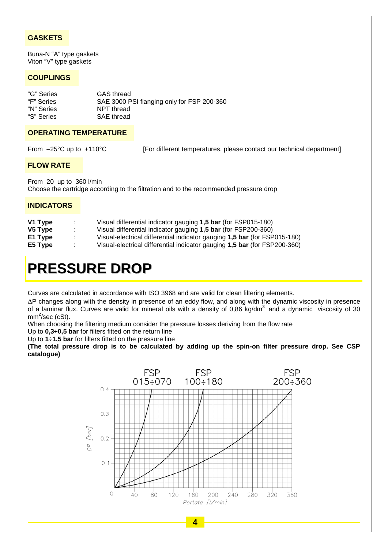## **GASKETS**

Buna-N "A" type gaskets Viton "V" type gaskets

## **COUPLINGS**

| "G" Series | GAS thread                                 |
|------------|--------------------------------------------|
| "F" Series | SAE 3000 PSI flanging only for FSP 200-360 |
| "N" Series | NPT thread                                 |
| "S" Series | SAE thread                                 |
|            |                                            |

### **OPERATING TEMPERATURE**

From -25°C up to +110°C [For different temperatures, please contact our technical department]

#### **FLOW RATE**

From 20 up to 360 l/min Choose the cartridge according to the filtration and to the recommended pressure drop

### **INDICATORS**

| Visual differential indicator gauging 1,5 bar (for FSP015-180)            |
|---------------------------------------------------------------------------|
| Visual differential indicator gauging 1,5 bar (for FSP200-360)            |
| Visual-electrical differential indicator gauging 1,5 bar (for FSP015-180) |
| Visual-electrical differential indicator gauging 1,5 bar (for FSP200-360) |
|                                                                           |

## **PRESSURE DROP**

Curves are calculated in accordance with ISO 3968 and are valid for clean filtering elements.

∆P changes along with the density in presence of an eddy flow, and along with the dynamic viscosity in presence of a laminar flux. Curves are valid for mineral oils with a density of 0,86 kg/dm<sup>3</sup> and a dynamic viscosity of 30 mm<sup>2</sup>/sec (cSt).

When choosing the filtering medium consider the pressure losses deriving from the flow rate

Up to **0,3÷0,5 bar** for filters fitted on the return line

Up to **1÷1,5 bar** for filters fitted on the pressure line

**(The total pressure drop is to be calculated by adding up the spin-on filter pressure drop. See CSP catalogue)**

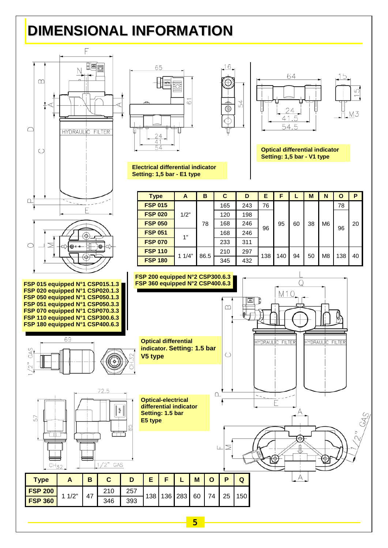## **DIMENSIONAL INFORMATION**

6

Ŧ



**FSP 200**

CH<sub>32</sub>





**Optical differential indicator Setting: 1,5 bar - V1 type**

| <b>Type</b>    | A          | B    | C   | D   | Е   | F   |    | M  | N              | O   | P  |
|----------------|------------|------|-----|-----|-----|-----|----|----|----------------|-----|----|
| <b>FSP 015</b> | 1/2"<br>1" | 78   | 165 | 243 | 76  | 95  | 60 | 38 | M <sub>6</sub> | 78  |    |
| <b>FSP 020</b> |            |      | 120 | 198 | 96  |     |    |    |                |     |    |
| <b>FSP 050</b> |            |      | 168 | 246 |     |     |    |    |                | 96  | 20 |
| <b>FSP 051</b> |            |      | 168 | 246 |     |     |    |    |                |     |    |
| <b>FSP 070</b> |            |      | 233 | 311 |     |     |    |    |                |     |    |
| <b>FSP 110</b> | 11/4"      | 86.5 | 210 | 297 | 138 | 140 | 94 | 50 | M <sub>8</sub> |     |    |
| <b>FSP 180</b> |            |      | 345 | 432 |     |     |    |    |                | 138 | 40 |

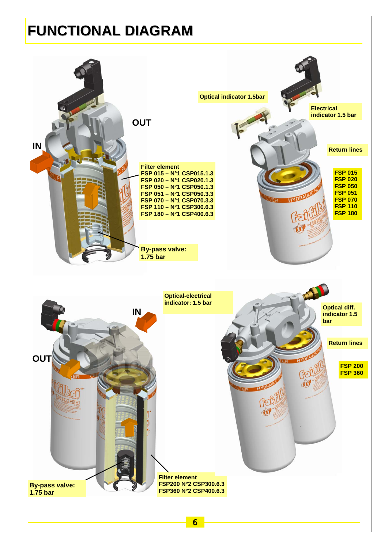## **FUNCTIONAL DIAGRAM**